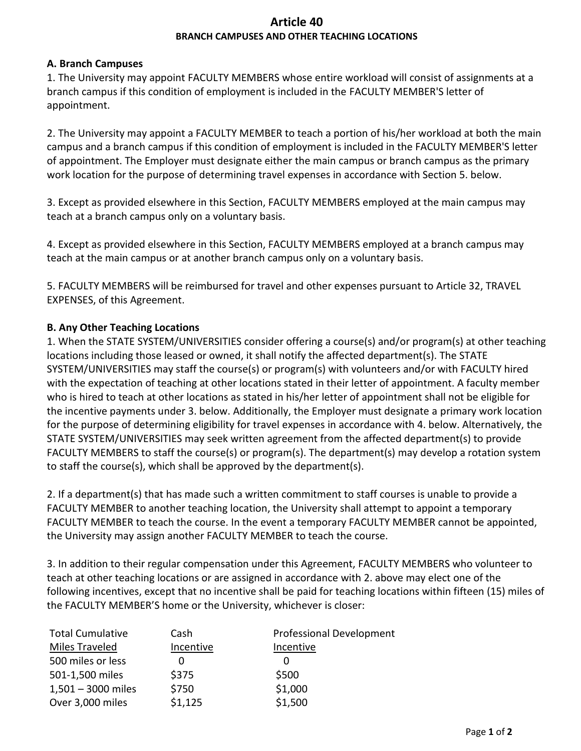# **Article 40 BRANCH CAMPUSES AND OTHER TEACHING LOCATIONS**

#### **A. Branch Campuses**

1. The University may appoint FACULTY MEMBERS whose entire workload will consist of assignments at a branch campus if this condition of employment is included in the FACULTY MEMBER'S letter of appointment.

2. The University may appoint a FACULTY MEMBER to teach a portion of his/her workload at both the main campus and a branch campus if this condition of employment is included in the FACULTY MEMBER'S letter of appointment. The Employer must designate either the main campus or branch campus as the primary work location for the purpose of determining travel expenses in accordance with Section 5. below.

3. Except as provided elsewhere in this Section, FACULTY MEMBERS employed at the main campus may teach at a branch campus only on a voluntary basis.

4. Except as provided elsewhere in this Section, FACULTY MEMBERS employed at a branch campus may teach at the main campus or at another branch campus only on a voluntary basis.

5. FACULTY MEMBERS will be reimbursed for travel and other expenses pursuant to Article 32, TRAVEL EXPENSES, of this Agreement.

# **B. Any Other Teaching Locations**

1. When the STATE SYSTEM/UNIVERSITIES consider offering a course(s) and/or program(s) at other teaching locations including those leased or owned, it shall notify the affected department(s). The STATE SYSTEM/UNIVERSITIES may staff the course(s) or program(s) with volunteers and/or with FACULTY hired with the expectation of teaching at other locations stated in their letter of appointment. A faculty member who is hired to teach at other locations as stated in his/her letter of appointment shall not be eligible for the incentive payments under 3. below. Additionally, the Employer must designate a primary work location for the purpose of determining eligibility for travel expenses in accordance with 4. below. Alternatively, the STATE SYSTEM/UNIVERSITIES may seek written agreement from the affected department(s) to provide FACULTY MEMBERS to staff the course(s) or program(s). The department(s) may develop a rotation system to staff the course(s), which shall be approved by the department(s).

2. If a department(s) that has made such a written commitment to staff courses is unable to provide a FACULTY MEMBER to another teaching location, the University shall attempt to appoint a temporary FACULTY MEMBER to teach the course. In the event a temporary FACULTY MEMBER cannot be appointed, the University may assign another FACULTY MEMBER to teach the course.

3. In addition to their regular compensation under this Agreement, FACULTY MEMBERS who volunteer to teach at other teaching locations or are assigned in accordance with 2. above may elect one of the following incentives, except that no incentive shall be paid for teaching locations within fifteen (15) miles of the FACULTY MEMBER'S home or the University, whichever is closer:

| <b>Total Cumulative</b> | Cash      | <b>Professional Development</b> |
|-------------------------|-----------|---------------------------------|
| Miles Traveled          | Incentive | Incentive                       |
| 500 miles or less       |           |                                 |
| 501-1,500 miles         | \$375     | \$500                           |
| $1,501 - 3000$ miles    | \$750     | \$1,000                         |
| Over 3,000 miles        | \$1,125   | \$1,500                         |